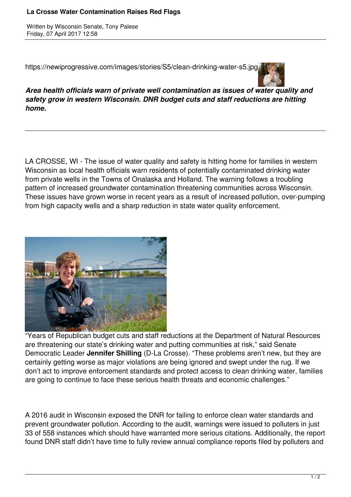## **La Crosse Water Contamination Raises Red Flags**

Written by Wisconsin Senate, Tony Palese Friday, 07 April 2017 12:58

https://newiprogressive.com/images/stories/S5/clean-drinking-water-s5.jpg



*Area health officials warn of private well contamination as issues of water quality and safety grow in western Wisconsin. DNR budget cuts and staff reductions are hitting home.*

LA CROSSE, WI - The issue of water quality and safety is hitting home for families in western Wisconsin as local health officials warn residents of potentially contaminated drinking water from private wells in the Towns of Onalaska and Holland. The warning follows a troubling pattern of increased groundwater contamination threatening communities across Wisconsin. These issues have grown worse in recent years as a result of increased pollution, over-pumping from high capacity wells and a sharp reduction in state water quality enforcement.



"Years of Republican budget cuts and staff reductions at the Department of Natural Resources are threatening our state's drinking water and putting communities at risk," said Senate Democratic Leader **Jennifer Shilling** (D-La Crosse). "These problems aren't new, but they are certainly getting worse as major violations are being ignored and swept under the rug. If we don't act to improve enforcement standards and protect access to clean drinking water, families are going to continue to face these serious health threats and economic challenges."

A 2016 audit in Wisconsin exposed the DNR for failing to enforce clean water standards and prevent groundwater pollution. According to the audit, warnings were issued to polluters in just 33 of 558 instances which should have warranted more serious citations. Additionally, the report found DNR staff didn't have time to fully review annual compliance reports filed by polluters and